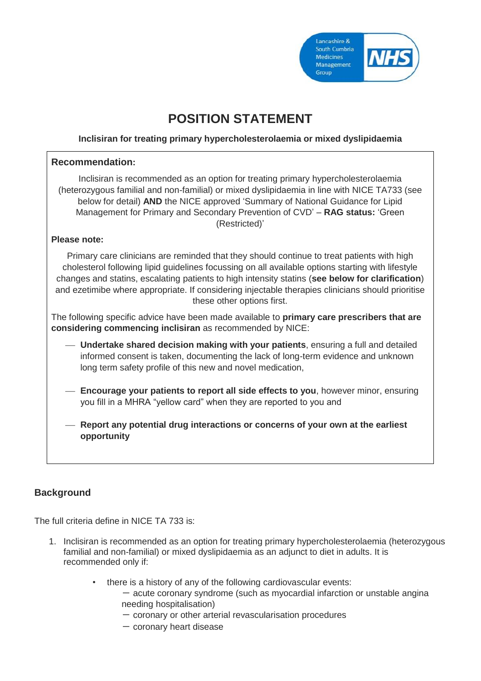

# **POSITION STATEMENT**

#### **Inclisiran for treating primary hypercholesterolaemia or mixed dyslipidaemia**

| <b>Recommendation:</b>                                                                                                                                                                                                                                                                                                                                                                                                                 |
|----------------------------------------------------------------------------------------------------------------------------------------------------------------------------------------------------------------------------------------------------------------------------------------------------------------------------------------------------------------------------------------------------------------------------------------|
| Inclisiran is recommended as an option for treating primary hypercholesterolaemia<br>(heterozygous familial and non-familial) or mixed dyslipidaemia in line with NICE TA733 (see<br>below for detail) AND the NICE approved 'Summary of National Guidance for Lipid<br>Management for Primary and Secondary Prevention of CVD' - RAG status: 'Green<br>(Restricted)'                                                                  |
| <b>Please note:</b>                                                                                                                                                                                                                                                                                                                                                                                                                    |
| Primary care clinicians are reminded that they should continue to treat patients with high<br>cholesterol following lipid guidelines focussing on all available options starting with lifestyle<br>changes and statins, escalating patients to high intensity statins (see below for clarification)<br>and ezetimibe where appropriate. If considering injectable therapies clinicians should prioritise<br>these other options first. |
| The following specific advice have been made available to primary care prescribers that are<br>considering commencing inclisiran as recommended by NICE:                                                                                                                                                                                                                                                                               |
| - Undertake shared decision making with your patients, ensuring a full and detailed<br>informed consent is taken, documenting the lack of long-term evidence and unknown<br>long term safety profile of this new and novel medication,                                                                                                                                                                                                 |
| Encourage your patients to report all side effects to you, however minor, ensuring<br>you fill in a MHRA "yellow card" when they are reported to you and                                                                                                                                                                                                                                                                               |
| Report any potential drug interactions or concerns of your own at the earliest<br>opportunity                                                                                                                                                                                                                                                                                                                                          |
|                                                                                                                                                                                                                                                                                                                                                                                                                                        |

## **Background**

The full criteria define in NICE TA 733 is:

- 1. Inclisiran is recommended as an option for treating primary hypercholesterolaemia (heterozygous familial and non-familial) or mixed dyslipidaemia as an adjunct to diet in adults. It is recommended only if:
	- there is a history of any of the following cardiovascular events:
		- $-$  acute coronary syndrome (such as myocardial infarction or unstable angina needing hospitalisation)
		- coronary or other arterial revascularisation procedures
		- $-$  coronary heart disease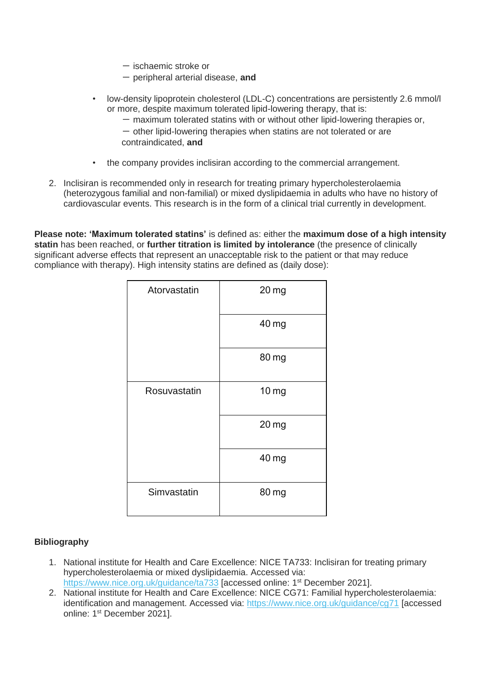- $-$  ischaemic stroke or
- peripheral arterial disease, **and**
- low-density lipoprotein cholesterol (LDL-C) concentrations are persistently 2.6 mmol/l or more, despite maximum tolerated lipid-lowering therapy, that is:
	- $-$  maximum tolerated statins with or without other lipid-lowering therapies or,
	- $-$  other lipid-lowering therapies when statins are not tolerated or are contraindicated, **and**
- the company provides inclisiran according to the commercial arrangement.
- 2. Inclisiran is recommended only in research for treating primary hypercholesterolaemia (heterozygous familial and non-familial) or mixed dyslipidaemia in adults who have no history of cardiovascular events. This research is in the form of a clinical trial currently in development.

**Please note: 'Maximum tolerated statins'** is defined as: either the **maximum dose of a high intensity statin** has been reached, or **further titration is limited by intolerance** (the presence of clinically significant adverse effects that represent an unacceptable risk to the patient or that may reduce compliance with therapy). High intensity statins are defined as (daily dose):

| Atorvastatin | 20 <sub>mg</sub> |
|--------------|------------------|
|              | 40 mg            |
|              | 80 mg            |
| Rosuvastatin | 10 mg            |
|              | 20 mg            |
|              | 40 mg            |
| Simvastatin  | 80 mg            |

#### **Bibliography**

- 1. National institute for Health and Care Excellence: NICE TA733: Inclisiran for treating primary hypercholesterolaemia or mixed dyslipidaemia. Accessed via: <https://www.nice.org.uk/guidance/ta733> [accessed online: 1<sup>st</sup> December 2021].
- 2. National institute for Health and Care Excellence: NICE CG71: Familial hypercholesterolaemia: identification and management. Accessed via:<https://www.nice.org.uk/guidance/cg71> [accessed online: 1<sup>st</sup> December 2021].